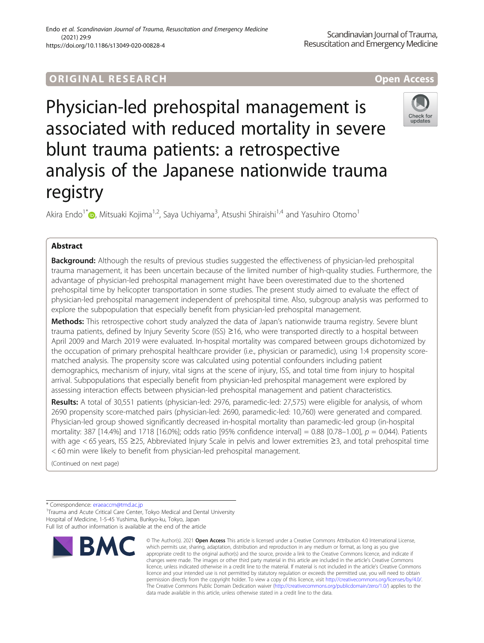# ORIGINA L R E S EA RCH Open Access

Physician-led prehospital management is associated with reduced mortality in severe blunt trauma patients: a retrospective analysis of the Japanese nationwide trauma registry

Akira Endo<sup>1\*</sup>®, Mitsuaki Kojima<sup>1,2</sup>, Saya Uchiyama<sup>3</sup>, Atsushi Shiraishi<sup>1,4</sup> and Yasuhiro Otomo<sup>1</sup>

# Abstract

**Background:** Although the results of previous studies suggested the effectiveness of physician-led prehospital trauma management, it has been uncertain because of the limited number of high-quality studies. Furthermore, the advantage of physician-led prehospital management might have been overestimated due to the shortened prehospital time by helicopter transportation in some studies. The present study aimed to evaluate the effect of physician-led prehospital management independent of prehospital time. Also, subgroup analysis was performed to explore the subpopulation that especially benefit from physician-led prehospital management.

Methods: This retrospective cohort study analyzed the data of Japan's nationwide trauma registry. Severe blunt trauma patients, defined by Injury Severity Score (ISS) ≥16, who were transported directly to a hospital between April 2009 and March 2019 were evaluated. In-hospital mortality was compared between groups dichotomized by the occupation of primary prehospital healthcare provider (i.e., physician or paramedic), using 1:4 propensity scorematched analysis. The propensity score was calculated using potential confounders including patient demographics, mechanism of injury, vital signs at the scene of injury, ISS, and total time from injury to hospital arrival. Subpopulations that especially benefit from physician-led prehospital management were explored by assessing interaction effects between physician-led prehospital management and patient characteristics.

Results: A total of 30,551 patients (physician-led: 2976, paramedic-led: 27,575) were eligible for analysis, of whom 2690 propensity score-matched pairs (physician-led: 2690, paramedic-led: 10,760) were generated and compared. Physician-led group showed significantly decreased in-hospital mortality than paramedic-led group (in-hospital mortality: 387 [14.4%] and 1718 [16.0%]; odds ratio [95% confidence interval] = 0.88 [0.78–1.00],  $p = 0.044$ ). Patients with age < 65 years, ISS ≥25, Abbreviated Injury Scale in pelvis and lower extremities ≥3, and total prehospital time < 60 min were likely to benefit from physician-led prehospital management.

(Continued on next page)

\* Correspondence: [eraeaccm@tmd.ac.jp](mailto:eraeaccm@tmd.ac.jp) <sup>1</sup>

**BMC** 

<sup>1</sup>Trauma and Acute Critical Care Center, Tokyo Medical and Dental University Hospital of Medicine, 1-5-45 Yushima, Bunkyo-ku, Tokyo, Japan Full list of author information is available at the end of the article



© The Author(s), 2021 **Open Access** This article is licensed under a Creative Commons Attribution 4.0 International License, which permits use, sharing, adaptation, distribution and reproduction in any medium or format, as long as you give



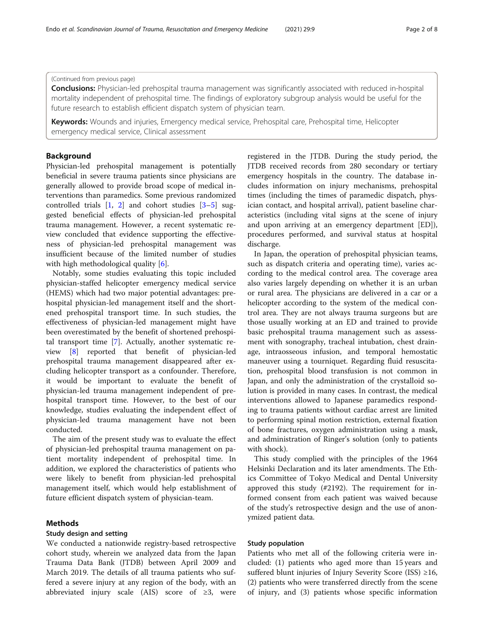# (Continued from previous page)

**Conclusions:** Physician-led prehospital trauma management was significantly associated with reduced in-hospital mortality independent of prehospital time. The findings of exploratory subgroup analysis would be useful for the future research to establish efficient dispatch system of physician team.

Keywords: Wounds and injuries, Emergency medical service, Prehospital care, Prehospital time, Helicopter emergency medical service, Clinical assessment

# Background

Physician-led prehospital management is potentially beneficial in severe trauma patients since physicians are generally allowed to provide broad scope of medical interventions than paramedics. Some previous randomized controlled trials  $[1, 2]$  $[1, 2]$  $[1, 2]$  $[1, 2]$  $[1, 2]$  and cohort studies  $[3-5]$  $[3-5]$  $[3-5]$  $[3-5]$  $[3-5]$  suggested beneficial effects of physician-led prehospital trauma management. However, a recent systematic review concluded that evidence supporting the effectiveness of physician-led prehospital management was insufficient because of the limited number of studies with high methodological quality [[6\]](#page-7-0).

Notably, some studies evaluating this topic included physician-staffed helicopter emergency medical service (HEMS) which had two major potential advantages: prehospital physician-led management itself and the shortened prehospital transport time. In such studies, the effectiveness of physician-led management might have been overestimated by the benefit of shortened prehospital transport time [\[7](#page-7-0)]. Actually, another systematic review [[8\]](#page-7-0) reported that benefit of physician-led prehospital trauma management disappeared after excluding helicopter transport as a confounder. Therefore, it would be important to evaluate the benefit of physician-led trauma management independent of prehospital transport time. However, to the best of our knowledge, studies evaluating the independent effect of physician-led trauma management have not been conducted.

The aim of the present study was to evaluate the effect of physician-led prehospital trauma management on patient mortality independent of prehospital time. In addition, we explored the characteristics of patients who were likely to benefit from physician-led prehospital management itself, which would help establishment of future efficient dispatch system of physician-team.

# Methods

### Study design and setting

We conducted a nationwide registry-based retrospective cohort study, wherein we analyzed data from the Japan Trauma Data Bank (JTDB) between April 2009 and March 2019. The details of all trauma patients who suffered a severe injury at any region of the body, with an abbreviated injury scale (AIS) score of ≥3, were registered in the JTDB. During the study period, the JTDB received records from 280 secondary or tertiary emergency hospitals in the country. The database includes information on injury mechanisms, prehospital times (including the times of paramedic dispatch, physician contact, and hospital arrival), patient baseline characteristics (including vital signs at the scene of injury and upon arriving at an emergency department [ED]), procedures performed, and survival status at hospital discharge.

In Japan, the operation of prehospital physician teams, such as dispatch criteria and operating time), varies according to the medical control area. The coverage area also varies largely depending on whether it is an urban or rural area. The physicians are delivered in a car or a helicopter according to the system of the medical control area. They are not always trauma surgeons but are those usually working at an ED and trained to provide basic prehospital trauma management such as assessment with sonography, tracheal intubation, chest drainage, intraosseous infusion, and temporal hemostatic maneuver using a tourniquet. Regarding fluid resuscitation, prehospital blood transfusion is not common in Japan, and only the administration of the crystalloid solution is provided in many cases. In contrast, the medical interventions allowed to Japanese paramedics responding to trauma patients without cardiac arrest are limited to performing spinal motion restriction, external fixation of bone fractures, oxygen administration using a mask, and administration of Ringer's solution (only to patients with shock).

This study complied with the principles of the 1964 Helsinki Declaration and its later amendments. The Ethics Committee of Tokyo Medical and Dental University approved this study (#2192). The requirement for informed consent from each patient was waived because of the study's retrospective design and the use of anonymized patient data.

## Study population

Patients who met all of the following criteria were included: (1) patients who aged more than 15 years and suffered blunt injuries of Injury Severity Score (ISS) ≥16, (2) patients who were transferred directly from the scene of injury, and (3) patients whose specific information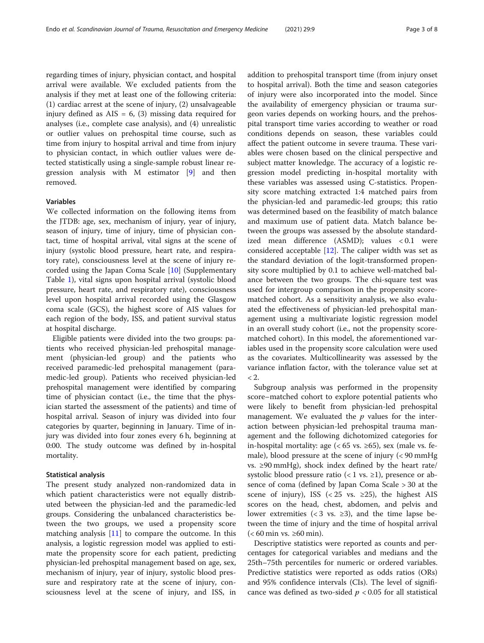regarding times of injury, physician contact, and hospital arrival were available. We excluded patients from the analysis if they met at least one of the following criteria: (1) cardiac arrest at the scene of injury, (2) unsalvageable injury defined as AIS = 6, (3) missing data required for analyses (i.e., complete case analysis), and (4) unrealistic or outlier values on prehospital time course, such as time from injury to hospital arrival and time from injury to physician contact, in which outlier values were detected statistically using a single-sample robust linear regression analysis with M estimator [\[9](#page-7-0)] and then removed.

# Variables

We collected information on the following items from the JTDB: age, sex, mechanism of injury, year of injury, season of injury, time of injury, time of physician contact, time of hospital arrival, vital signs at the scene of injury (systolic blood pressure, heart rate, and respiratory rate), consciousness level at the scene of injury recorded using the Japan Coma Scale [[10\]](#page-7-0) (Supplementary Table [1](#page-6-0)), vital signs upon hospital arrival (systolic blood pressure, heart rate, and respiratory rate), consciousness level upon hospital arrival recorded using the Glasgow coma scale (GCS), the highest score of AIS values for each region of the body, ISS, and patient survival status at hospital discharge.

Eligible patients were divided into the two groups: patients who received physician-led prehospital management (physician-led group) and the patients who received paramedic-led prehospital management (paramedic-led group). Patients who received physician-led prehospital management were identified by comparing time of physician contact (i.e., the time that the physician started the assessment of the patients) and time of hospital arrival. Season of injury was divided into four categories by quarter, beginning in January. Time of injury was divided into four zones every 6 h, beginning at 0:00. The study outcome was defined by in-hospital mortality.

### Statistical analysis

The present study analyzed non-randomized data in which patient characteristics were not equally distributed between the physician-led and the paramedic-led groups. Considering the unbalanced characteristics between the two groups, we used a propensity score matching analysis  $[11]$  $[11]$  to compare the outcome. In this analysis, a logistic regression model was applied to estimate the propensity score for each patient, predicting physician-led prehospital management based on age, sex, mechanism of injury, year of injury, systolic blood pressure and respiratory rate at the scene of injury, consciousness level at the scene of injury, and ISS, in addition to prehospital transport time (from injury onset to hospital arrival). Both the time and season categories of injury were also incorporated into the model. Since the availability of emergency physician or trauma surgeon varies depends on working hours, and the prehospital transport time varies according to weather or road conditions depends on season, these variables could affect the patient outcome in severe trauma. These variables were chosen based on the clinical perspective and subject matter knowledge. The accuracy of a logistic regression model predicting in-hospital mortality with these variables was assessed using C-statistics. Propensity score matching extracted 1:4 matched pairs from the physician-led and paramedic-led groups; this ratio was determined based on the feasibility of match balance and maximum use of patient data. Match balance between the groups was assessed by the absolute standardized mean difference (ASMD); values < 0.1 were considered acceptable  $[12]$  $[12]$ . The caliper width was set as the standard deviation of the logit-transformed propensity score multiplied by 0.1 to achieve well-matched balance between the two groups. The chi-square test was used for intergroup comparison in the propensity scorematched cohort. As a sensitivity analysis, we also evaluated the effectiveness of physician-led prehospital management using a multivariate logistic regression model in an overall study cohort (i.e., not the propensity scorematched cohort). In this model, the aforementioned variables used in the propensity score calculation were used as the covariates. Multicollinearity was assessed by the variance inflation factor, with the tolerance value set at  $< 2$ .

Subgroup analysis was performed in the propensity score–matched cohort to explore potential patients who were likely to benefit from physician-led prehospital management. We evaluated the  $p$  values for the interaction between physician-led prehospital trauma management and the following dichotomized categories for in-hospital mortality: age ( $< 65$  vs.  $\geq 65$ ), sex (male vs. female), blood pressure at the scene of injury (< 90 mmHg vs. ≥90 mmHg), shock index defined by the heart rate/ systolic blood pressure ratio (< 1 vs.  $\geq$ 1), presence or absence of coma (defined by Japan Coma Scale > 30 at the scene of injury), ISS (< 25 vs.  $\geq$ 25), the highest AIS scores on the head, chest, abdomen, and pelvis and lower extremities (< 3 vs.  $\geq$ 3), and the time lapse between the time of injury and the time of hospital arrival  $(< 60$  min vs.  $\geq 60$  min).

Descriptive statistics were reported as counts and percentages for categorical variables and medians and the 25th–75th percentiles for numeric or ordered variables. Predictive statistics were reported as odds ratios (ORs) and 95% confidence intervals (CIs). The level of significance was defined as two-sided  $p < 0.05$  for all statistical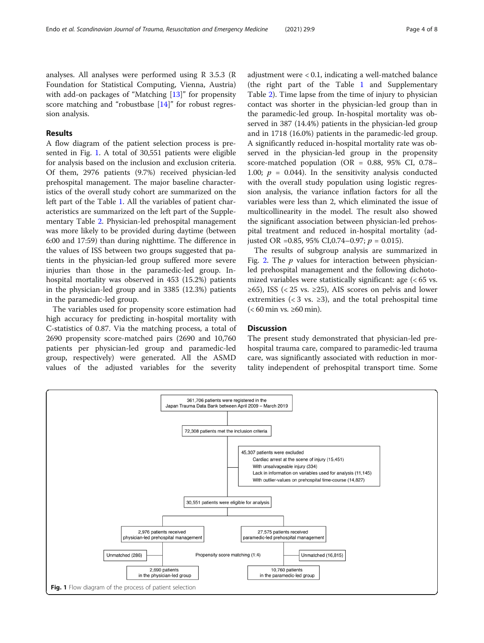analyses. All analyses were performed using R 3.5.3 (R Foundation for Statistical Computing, Vienna, Austria) with add-on packages of "Matching [[13\]](#page-7-0)" for propensity score matching and "robustbase [[14\]](#page-7-0)" for robust regression analysis.

# Results

A flow diagram of the patient selection process is presented in Fig. 1. A total of 30,551 patients were eligible for analysis based on the inclusion and exclusion criteria. Of them, 2976 patients (9.7%) received physician-led prehospital management. The major baseline characteristics of the overall study cohort are summarized on the left part of the Table [1](#page-4-0). All the variables of patient characteristics are summarized on the left part of the Supplementary Table [2](#page-6-0). Physician-led prehospital management was more likely to be provided during daytime (between 6:00 and 17:59) than during nighttime. The difference in the values of ISS between two groups suggested that patients in the physician-led group suffered more severe injuries than those in the paramedic-led group. Inhospital mortality was observed in 453 (15.2%) patients in the physician-led group and in 3385 (12.3%) patients in the paramedic-led group.

The variables used for propensity score estimation had high accuracy for predicting in-hospital mortality with C-statistics of 0.87. Via the matching process, a total of 2690 propensity score-matched pairs (2690 and 10,760 patients per physician-led group and paramedic-led group, respectively) were generated. All the ASMD values of the adjusted variables for the severity adjustment were < 0.1, indicating a well-matched balance (the right part of the Table [1](#page-4-0) and Supplementary Table [2\)](#page-6-0). Time lapse from the time of injury to physician contact was shorter in the physician-led group than in the paramedic-led group. In-hospital mortality was observed in 387 (14.4%) patients in the physician-led group and in 1718 (16.0%) patients in the paramedic-led group. A significantly reduced in-hospital mortality rate was observed in the physician-led group in the propensity score-matched population (OR = 0.88, 95% CI, 0.78– 1.00;  $p = 0.044$ ). In the sensitivity analysis conducted with the overall study population using logistic regression analysis, the variance inflation factors for all the variables were less than 2, which eliminated the issue of multicollinearity in the model. The result also showed the significant association between physician-led prehospital treatment and reduced in-hospital mortality (adjusted OR = 0.85, 95% CI, 0.74 – 0.97;  $p = 0.015$ ).

The results of subgroup analysis are summarized in Fig. [2](#page-5-0). The  $p$  values for interaction between physicianled prehospital management and the following dichotomized variables were statistically significant: age (< 65 vs.  $\geq 65$ ), ISS (< 25 vs.  $\geq 25$ ), AIS scores on pelvis and lower extremities ( $<$  3 vs.  $\geq$ 3), and the total prehospital time  $(< 60$  min vs.  $\geq 60$  min).

# **Discussion**

The present study demonstrated that physician-led prehospital trauma care, compared to paramedic-led trauma care, was significantly associated with reduction in mortality independent of prehospital transport time. Some

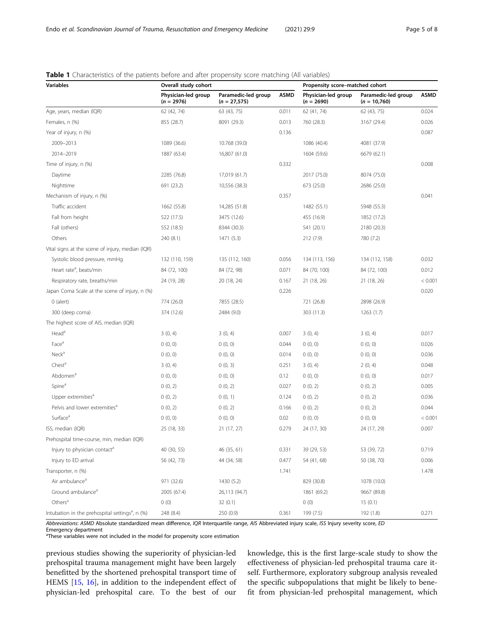| <b>Variables</b>                                            | Overall study cohort                |                                       | Propensity score-matched cohort |                                     |                                       |             |
|-------------------------------------------------------------|-------------------------------------|---------------------------------------|---------------------------------|-------------------------------------|---------------------------------------|-------------|
|                                                             | Physician-led group<br>$(n = 2976)$ | Paramedic-led group<br>$(n = 27,575)$ | <b>ASMD</b>                     | Physician-led group<br>$(n = 2690)$ | Paramedic-led group<br>$(n = 10,760)$ | <b>ASMD</b> |
| Age, years, median (IQR)                                    | 62 (42, 74)                         | 63 (43, 75)                           | 0.011                           | 62 (41, 74)                         | 62 (43, 75)                           | 0.024       |
| Females, n (%)                                              | 855 (28.7)                          | 8091 (29.3)                           | 0.013                           | 760 (28.3)                          | 3167 (29.4)                           | 0.026       |
| Year of injury, n (%)                                       |                                     |                                       | 0.136                           |                                     |                                       | 0.087       |
| 2009-2013                                                   | 1089 (36.6)                         | 10.768 (39.0)                         |                                 | 1086 (40.4)                         | 4081 (37.9)                           |             |
| 2014-2019                                                   | 1887 (63.4)                         | 16,807 (61.0)                         |                                 | 1604 (59.6)                         | 6679 (62.1)                           |             |
| Time of injury, n (%)                                       |                                     |                                       | 0.332                           |                                     |                                       | 0.008       |
| Daytime                                                     | 2285 (76.8)                         | 17,019 (61.7)                         |                                 | 2017 (75.0)                         | 8074 (75.0)                           |             |
| Nighttime                                                   | 691 (23.2)                          | 10,556 (38.3)                         |                                 | 673 (25.0)                          | 2686 (25.0)                           |             |
| Mechanism of injury, n (%)                                  |                                     |                                       | 0.357                           |                                     |                                       | 0.041       |
| Traffic accident                                            | 1662 (55.8)                         | 14,285 (51.8)                         |                                 | 1482 (55.1)                         | 5948 (55.3)                           |             |
| Fall from height                                            | 522 (17.5)                          | 3475 (12.6)                           |                                 | 455 (16.9)                          | 1852 (17.2)                           |             |
| Fall (others)                                               | 552 (18.5)                          | 8344 (30.3)                           |                                 | 541 (20.1)                          | 2180 (20.3)                           |             |
| Others                                                      | 240 (8.1)                           | 1471 (5.3)                            |                                 | 212 (7.9)                           | 780 (7.2)                             |             |
| Vital signs at the scene of injury, median (IQR)            |                                     |                                       |                                 |                                     |                                       |             |
| Systolic blood pressure, mmHg                               | 132 (110, 159)                      | 135 (112, 160)                        | 0.056                           | 134 (113, 156)                      | 134 (112, 158)                        | 0.032       |
| Heart rate <sup>a</sup> , beats/min                         | 84 (72, 100)                        | 84 (72, 98)                           | 0.071                           | 84 (70, 100)                        | 84 (72, 100)                          | 0.012       |
| Respiratory rate, breaths/min                               | 24 (19, 28)                         | 20 (18, 24)                           | 0.167                           | 21 (18, 26)                         | 21 (18, 26)                           | < 0.001     |
| Japan Coma Scale at the scene of injury, n (%)              |                                     |                                       | 0.226                           |                                     |                                       | 0.020       |
| $0$ (alert)                                                 | 774 (26.0)                          | 7855 (28.5)                           |                                 | 721 (26.8)                          | 2898 (26.9)                           |             |
| 300 (deep coma)                                             | 374 (12.6)                          | 2484 (9.0)                            |                                 | 303 (11.3)                          | 1263 (1.7)                            |             |
| The highest score of AIS, median (IQR)                      |                                     |                                       |                                 |                                     |                                       |             |
| Head <sup>a</sup>                                           | 3(0, 4)                             | 3(0, 4)                               | 0.007                           | 3(0, 4)                             | 3(0, 4)                               | 0.017       |
| Face <sup>a</sup>                                           | 0(0, 0)                             | 0(0, 0)                               | 0.044                           | 0(0, 0)                             | 0(0, 0)                               | 0.026       |
| Neck <sup>a</sup>                                           | 0(0, 0)                             | 0(0, 0)                               | 0.014                           | 0(0, 0)                             | 0(0, 0)                               | 0.036       |
| Chest <sup>a</sup>                                          | 3(0, 4)                             | 0(0, 3)                               | 0.251                           | 3(0, 4)                             | 2(0, 4)                               | 0.048       |
| Abdomen <sup>a</sup>                                        | 0(0, 0)                             | 0(0, 0)                               | 0.12                            | 0(0, 0)                             | 0(0, 0)                               | 0.017       |
| Spine <sup>a</sup>                                          | 0(0, 2)                             | 0(0, 2)                               | 0.027                           | 0(0, 2)                             | 0(0, 2)                               | 0.005       |
| Upper extremities <sup>a</sup>                              | 0(0, 2)                             | 0(0, 1)                               | 0.124                           | 0(0, 2)                             | 0(0, 2)                               | 0.036       |
| Pelvis and lower extremities <sup>a</sup>                   | 0(0, 2)                             | 0(0, 2)                               | 0.166                           | 0(0, 2)                             | 0(0, 2)                               | 0.044       |
| Surface <sup>a</sup>                                        | 0(0, 0)                             | 0(0, 0)                               | 0.02                            | 0(0, 0)                             | 0(0, 0)                               | < 0.001     |
| ISS, median (IQR)                                           | 25 (18, 33)                         | 21 (17, 27)                           | 0.279                           | 24 (17, 30)                         | 24 (17, 29)                           | 0.007       |
| Prehospital time-course, min, median (IQR)                  |                                     |                                       |                                 |                                     |                                       |             |
| Injury to physician contact <sup>a</sup>                    | 40 (30, 55)                         | 46 (35, 61)                           | 0.331                           | 39 (29, 53)                         | 53 (39, 72)                           | 0.719       |
| Injury to ED arrival                                        | 56 (42, 73)                         | 44 (34, 58)                           | 0.477                           | 54 (41, 68)                         | 50 (38, 70)                           | 0.006       |
| Transporter, n (%)                                          |                                     |                                       | 1.741                           |                                     |                                       | 1.478       |
| Air ambulance <sup>a</sup>                                  | 971 (32.6)                          | 1430 (5.2)                            |                                 | 829 (30.8)                          | 1078 (10.0)                           |             |
| Ground ambulance <sup>a</sup>                               | 2005 (67.4)                         | 26,113 (94.7)                         |                                 | 1861 (69.2)                         | 9667 (89.8)                           |             |
| Others <sup>a</sup>                                         | 0(0)                                | 32(0.1)                               |                                 | 0(0)                                | 15(0.1)                               |             |
| Intubation in the prehospital settings <sup>a</sup> , n (%) | 248 (8.4)                           | 250 (0.9)                             | 0.361                           | 199 (7.5)                           | 192 (1.8)                             | 0.271       |

# <span id="page-4-0"></span>**Table 1** Characteristics of the patients before and after propensity score matching (All variables)

Abbreviations: ASMD Absolute standardized mean difference, IQR Interquartile range, AIS Abbreviated injury scale, ISS Injury severity score, ED

Emergency department

<sup>a</sup>These variables were not included in the model for propensity score estimation

previous studies showing the superiority of physician-led prehospital trauma management might have been largely benefitted by the shortened prehospital transport time of HEMS [[15,](#page-7-0) [16](#page-7-0)], in addition to the independent effect of physician-led prehospital care. To the best of our

knowledge, this is the first large-scale study to show the effectiveness of physician-led prehospital trauma care itself. Furthermore, exploratory subgroup analysis revealed the specific subpopulations that might be likely to benefit from physician-led prehospital management, which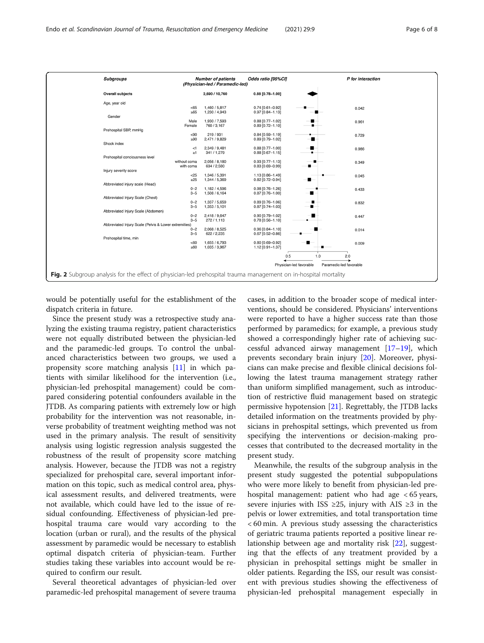<span id="page-5-0"></span>

| <b>Subgroups</b>                                                                                                |                    | <b>Number of patients</b><br>(Physician-led / Paramedic-led) | Odds ratio [95%CI]                       |  | P for interaction |  |  |  |
|-----------------------------------------------------------------------------------------------------------------|--------------------|--------------------------------------------------------------|------------------------------------------|--|-------------------|--|--|--|
| <b>Overall subjects</b>                                                                                         |                    | 2,690 / 10,760                                               | $0.88$ [0.78-1.00]                       |  |                   |  |  |  |
| Age, year old                                                                                                   |                    |                                                              |                                          |  |                   |  |  |  |
|                                                                                                                 | < 65<br>$\geq 65$  | 1,460 / 5,817<br>1,230 / 4,943                               | $0.74$ [0.61-0.92]<br>$0.97$ [0.84-1.13] |  | 0.042             |  |  |  |
| Gender                                                                                                          | Male               | 1,930 / 7,593                                                | $0.88$ [0.77-1.02]                       |  | 0.961             |  |  |  |
| Prehospital SBP, mmHg                                                                                           | Female             | 760 / 3.167                                                  | $0.89$ [0.72-1.10]                       |  |                   |  |  |  |
|                                                                                                                 | $90$               | 219/931                                                      | 0.84 [0.59-1.19]                         |  | 0.729             |  |  |  |
| Shock index                                                                                                     | $\geq 90$          | 2,471 / 9,829                                                | $0.89$ [0.79-1.02]                       |  |                   |  |  |  |
|                                                                                                                 | $<$ 1<br>$\geq 1$  | 2,349 / 9,481<br>341 / 1,279                                 | 0.88 [0.77-1.00]<br>$0.88$ [0.67-1.15]   |  | 0.986             |  |  |  |
| Prehospital conciousness level                                                                                  | without coma       | 2,056 / 8,180                                                | $0.93$ [0.77-1.13]                       |  |                   |  |  |  |
|                                                                                                                 | with coma          | 634 / 2,580                                                  | $0.83$ [0.69-0.99]                       |  | 0.349             |  |  |  |
| Injury severity score                                                                                           | $25$               | 1,346 / 5,391                                                | 1.13 [0.86-1.49]                         |  | 0.045             |  |  |  |
| Abbreviated injury scale (Head)                                                                                 | $\geq 25$          | 1,344 / 5,369                                                | $0.82$ [0.72-0.94]                       |  |                   |  |  |  |
|                                                                                                                 | $0 - 2$<br>$3 - 5$ | 1,182 / 4,596<br>1,508 / 6,164                               | $0.98$ [0.76-1.26]<br>$0.87$ [0.76-1.00] |  | 0.433             |  |  |  |
| Abbreviated Injury Scale (Chest)                                                                                |                    |                                                              | $0.89$ [0.76-1.06]                       |  |                   |  |  |  |
|                                                                                                                 | $0 - 2$<br>$3 - 5$ | 1,337 / 5,659<br>1,353 / 5,101                               | $0.87$ [0.74-1.03]                       |  | 0.832             |  |  |  |
| Abbreviated Injury Scale (Abdomen)                                                                              | $0 - 2$            | 2.418 / 9.647                                                | $0.90$ [0.79-1.02]                       |  | 0.447             |  |  |  |
| Abbreviated Injury Scale (Pelvis & Lower extremities)                                                           | $3 - 5$            | 272/1.113                                                    | $0.78$ [0.56-1.10]                       |  |                   |  |  |  |
|                                                                                                                 | $0 - 2$<br>$3 - 5$ | 2,068 / 8,525<br>622 / 2,235                                 | $0.96$ [0.84-1.10]<br>$0.67$ [0.52-0.86] |  | 0.014             |  |  |  |
| Prehospital time, min                                                                                           |                    |                                                              |                                          |  |                   |  |  |  |
|                                                                                                                 | <60<br>$\geq 60$   | 1,655 / 6,793<br>1,035 / 3,967                               | 0.80 [0.69-0.92]<br>1.12 [0.91-1.37]     |  | 0.009             |  |  |  |
|                                                                                                                 |                    |                                                              | 0.5                                      |  | $1.0$<br>2.0      |  |  |  |
| Physician-led favorable<br>Paramedic-led favorable                                                              |                    |                                                              |                                          |  |                   |  |  |  |
| Fig. 2 Subgroup analysis for the effect of physician-led prehospital trauma management on in-hospital mortality |                    |                                                              |                                          |  |                   |  |  |  |
|                                                                                                                 |                    |                                                              |                                          |  |                   |  |  |  |

would be potentially useful for the establishment of the dispatch criteria in future.

Since the present study was a retrospective study analyzing the existing trauma registry, patient characteristics were not equally distributed between the physician-led and the paramedic-led groups. To control the unbalanced characteristics between two groups, we used a propensity score matching analysis [[11](#page-7-0)] in which patients with similar likelihood for the intervention (i.e., physician-led prehospital management) could be compared considering potential confounders available in the JTDB. As comparing patients with extremely low or high probability for the intervention was not reasonable, inverse probability of treatment weighting method was not used in the primary analysis. The result of sensitivity analysis using logistic regression analysis suggested the robustness of the result of propensity score matching analysis. However, because the JTDB was not a registry specialized for prehospital care, several important information on this topic, such as medical control area, physical assessment results, and delivered treatments, were not available, which could have led to the issue of residual confounding. Effectiveness of physician-led prehospital trauma care would vary according to the location (urban or rural), and the results of the physical assessment by paramedic would be necessary to establish optimal dispatch criteria of physician-team. Further studies taking these variables into account would be required to confirm our result.

Several theoretical advantages of physician-led over paramedic-led prehospital management of severe trauma

cases, in addition to the broader scope of medical interventions, should be considered. Physicians' interventions were reported to have a higher success rate than those performed by paramedics; for example, a previous study showed a correspondingly higher rate of achieving successful advanced airway management  $[17-19]$  $[17-19]$  $[17-19]$  $[17-19]$ , which prevents secondary brain injury [\[20\]](#page-7-0). Moreover, physicians can make precise and flexible clinical decisions following the latest trauma management strategy rather than uniform simplified management, such as introduction of restrictive fluid management based on strategic permissive hypotension [\[21\]](#page-7-0). Regrettably, the JTDB lacks detailed information on the treatments provided by physicians in prehospital settings, which prevented us from specifying the interventions or decision-making processes that contributed to the decreased mortality in the present study.

Meanwhile, the results of the subgroup analysis in the present study suggested the potential subpopulations who were more likely to benefit from physician-led prehospital management: patient who had age < 65 years, severe injuries with ISS ≥25, injury with AIS ≥3 in the pelvis or lower extremities, and total transportation time < 60 min. A previous study assessing the characteristics of geriatric trauma patients reported a positive linear relationship between age and mortality risk [\[22\]](#page-7-0), suggesting that the effects of any treatment provided by a physician in prehospital settings might be smaller in older patients. Regarding the ISS, our result was consistent with previous studies showing the effectiveness of physician-led prehospital management especially in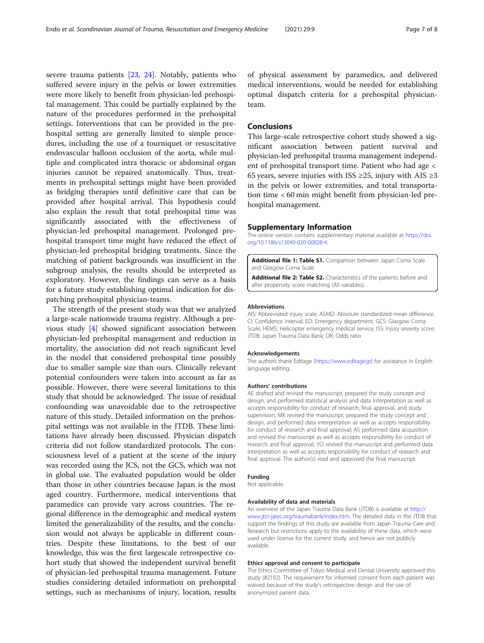<span id="page-6-0"></span>severe trauma patients [[23](#page-7-0), [24](#page-7-0)]. Notably, patients who suffered severe injury in the pelvis or lower extremities were more likely to benefit from physician-led prehospital management. This could be partially explained by the nature of the procedures performed in the prehospital settings. Interventions that can be provided in the prehospital setting are generally limited to simple procedures, including the use of a tourniquet or resuscitative endovascular balloon occlusion of the aorta, while multiple and complicated intra thoracic or abdominal organ injuries cannot be repaired anatomically. Thus, treatments in prehospital settings might have been provided as bridging therapies until definitive care that can be provided after hospital arrival. This hypothesis could also explain the result that total prehospital time was significantly associated with the effectiveness of physician-led prehospital management. Prolonged prehospital transport time might have reduced the effect of physician-led prehospital bridging treatments. Since the matching of patient backgrounds was insufficient in the subgroup analysis, the results should be interpreted as exploratory. However, the findings can serve as a basis for a future study establishing optimal indication for dispatching prehospital physician-teams.

The strength of the present study was that we analyzed a large-scale nationwide trauma registry. Although a previous study [[4](#page-7-0)] showed significant association between physician-led prehospital management and reduction in mortality, the association did not reach significant level in the model that considered prehospital time possibly due to smaller sample size than ours. Clinically relevant potential confounders were taken into account as far as possible. However, there were several limitations to this study that should be acknowledged. The issue of residual confounding was unavoidable due to the retrospective nature of this study. Detailed information on the prehospital settings was not available in the JTDB. These limitations have already been discussed. Physician dispatch criteria did not follow standardized protocols. The consciousness level of a patient at the scene of the injury was recorded using the JCS, not the GCS, which was not in global use. The evaluated population would be older than those in other countries because Japan is the most aged country. Furthermore, medical interventions that paramedics can provide vary across countries. The regional difference in the demographic and medical system limited the generalizability of the results, and the conclusion would not always be applicable in different countries. Despite these limitations, to the best of our knowledge, this was the first largescale retrospective cohort study that showed the independent survival benefit of physician-led prehospital trauma management. Future studies considering detailed information on prehospital settings, such as mechanisms of injury, location, results

of physical assessment by paramedics, and delivered medical interventions, would be needed for establishing optimal dispatch criteria for a prehospital physicianteam.

## **Conclusions**

This large-scale retrospective cohort study showed a significant association between patient survival and physician-led prehospital trauma management independent of prehospital transport time. Patient who had age < 65 years, severe injuries with ISS ≥25, injury with AIS ≥3 in the pelvis or lower extremities, and total transportation time < 60 min might benefit from physician-led prehospital management.

#### Supplementary Information

The online version contains supplementary material available at [https://doi.](https://doi.org/10.1186/s13049-020-00828-4) [org/10.1186/s13049-020-00828-4.](https://doi.org/10.1186/s13049-020-00828-4)

Additional file 1: Table S1. Comparison between Japan Coma Scale and Glasgow Coma Scale.

Additional file 2: Table S2. Characteristics of the patients before and after propensity score matching (All variables).

#### Abbreviations

AIS: Abbreviated injury scale; ASMD: Absolute standardized mean difference; CI: Confidence interval; ED: Emergency department; GCS: Glasgow Coma Scale; HEMS: Helicopter emergency medical service; ISS: Injury severity score; JTDB: Japan Trauma Data Bank; OR: Odds ratio

#### Acknowledgements

The authors thank Editage [\(https://www.editage.jp\)](https://www.editage.jp) for assistance in English language editing.

#### Authors' contributions

AE drafted and revised the manuscript, prepared the study concept and design, and performed statistical analysis and data interpretation as well as accepts responsibility for conduct of research, final approval, and study supervision; MK revised the manuscript, prepared the study concept and design, and performed data interpretation as well as accepts responsibility for conduct of research and final approval; AS performed data acquisition and revised the manuscript as well as accepts responsibility for conduct of research and final approval; YO revised the manuscript and performed data interpretation as well as accepts responsibility for conduct of research and final approval. The author(s) read and approved the final manuscript.

### Funding

Not applicable.

# Availability of data and materials

An overview of the Japan Trauma Data Bank (JTDB) is available at [http://](http://www.jtcr-jatec.org/traumabank/index.htm) [www.jtcr-jatec.org/traumabank/index.htm](http://www.jtcr-jatec.org/traumabank/index.htm). The detailed data in the JTDB that support the findings of this study are available from Japan Trauma Care and Research but restrictions apply to the availability of these data, which were used under license for the current study, and hence are not publicly available.

### Ethics approval and consent to participate

The Ethics Committee of Tokyo Medical and Dental University approved this study (#2192). The requirement for informed consent from each patient was waived because of the study's retrospective design and the use of anonymized patient data.